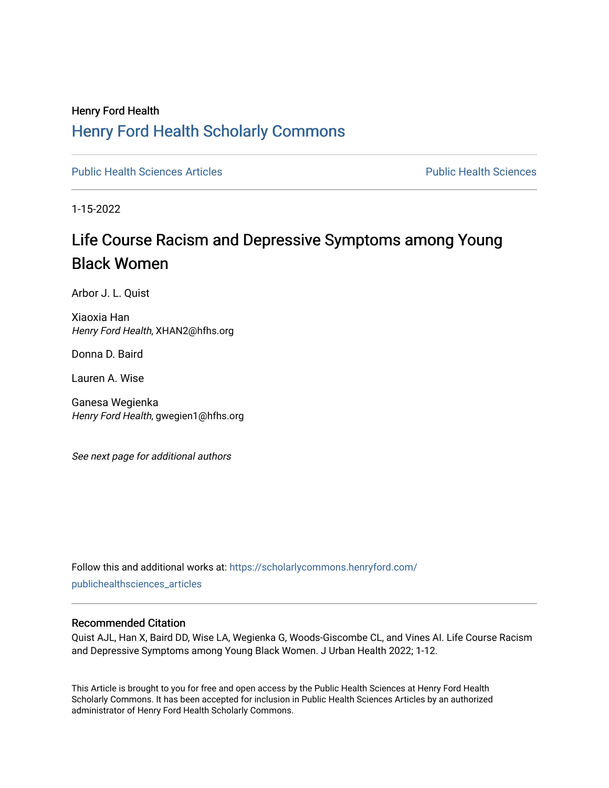# Henry Ford Health [Henry Ford Health Scholarly Commons](https://scholarlycommons.henryford.com/)

[Public Health Sciences Articles](https://scholarlycommons.henryford.com/publichealthsciences_articles) [Public Health Sciences](https://scholarlycommons.henryford.com/publichealthsciences) 

1-15-2022

# Life Course Racism and Depressive Symptoms among Young Black Women

Arbor J. L. Quist

Xiaoxia Han Henry Ford Health, XHAN2@hfhs.org

Donna D. Baird

Lauren A. Wise

Ganesa Wegienka Henry Ford Health, gwegien1@hfhs.org

See next page for additional authors

Follow this and additional works at: [https://scholarlycommons.henryford.com/](https://scholarlycommons.henryford.com/publichealthsciences_articles?utm_source=scholarlycommons.henryford.com%2Fpublichealthsciences_articles%2F302&utm_medium=PDF&utm_campaign=PDFCoverPages) [publichealthsciences\\_articles](https://scholarlycommons.henryford.com/publichealthsciences_articles?utm_source=scholarlycommons.henryford.com%2Fpublichealthsciences_articles%2F302&utm_medium=PDF&utm_campaign=PDFCoverPages) 

# Recommended Citation

Quist AJL, Han X, Baird DD, Wise LA, Wegienka G, Woods-Giscombe CL, and Vines AI. Life Course Racism and Depressive Symptoms among Young Black Women. J Urban Health 2022; 1-12.

This Article is brought to you for free and open access by the Public Health Sciences at Henry Ford Health Scholarly Commons. It has been accepted for inclusion in Public Health Sciences Articles by an authorized administrator of Henry Ford Health Scholarly Commons.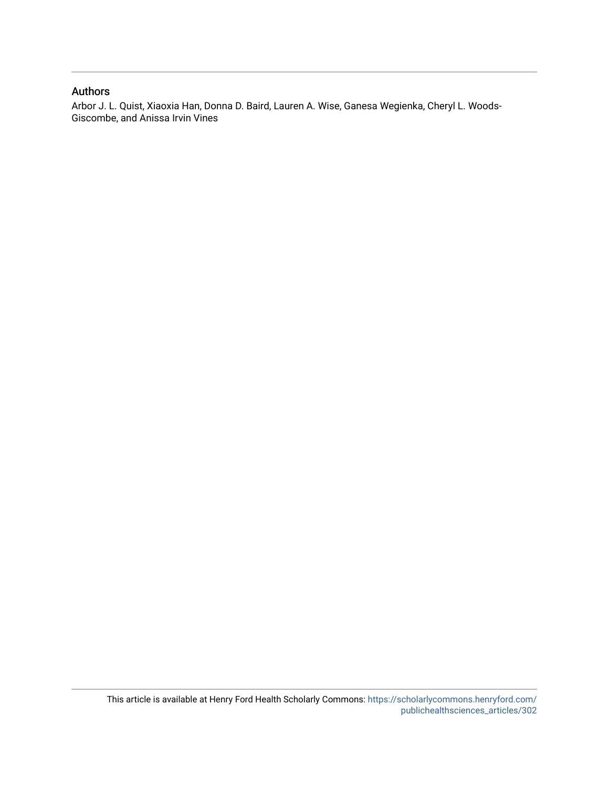# Authors

Arbor J. L. Quist, Xiaoxia Han, Donna D. Baird, Lauren A. Wise, Ganesa Wegienka, Cheryl L. Woods-Giscombe, and Anissa Irvin Vines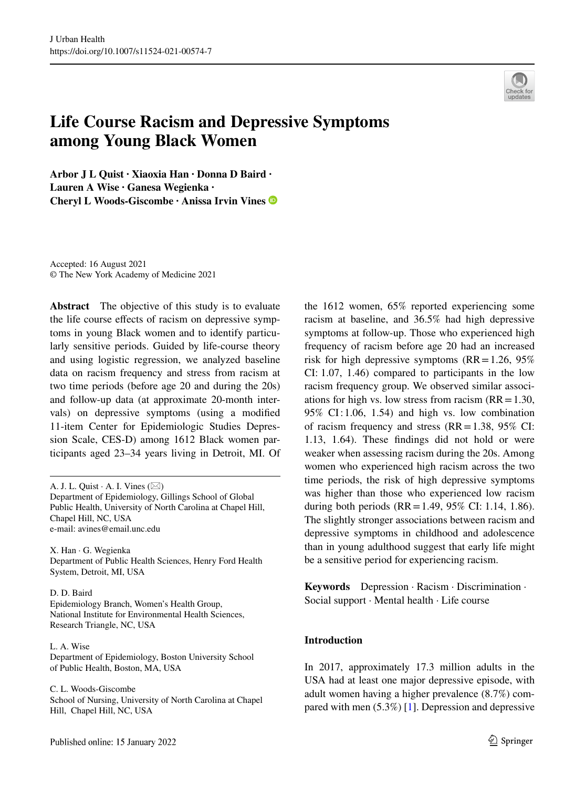

# **Life Course Racism and Depressive Symptoms among Young Black Women**

**Arbor J L Quist · Xiaoxia Han · Donna D Baird · Lauren A Wise · Ganesa Wegienka · Cheryl L Woods‑Giscombe · Anissa Irvin Vines**

Accepted: 16 August 2021 © The New York Academy of Medicine 2021

**Abstract** The objective of this study is to evaluate the life course efects of racism on depressive symptoms in young Black women and to identify particularly sensitive periods. Guided by life-course theory and using logistic regression, we analyzed baseline data on racism frequency and stress from racism at two time periods (before age 20 and during the 20s) and follow-up data (at approximate 20-month intervals) on depressive symptoms (using a modifed 11-item Center for Epidemiologic Studies Depression Scale, CES-D) among 1612 Black women participants aged 23–34 years living in Detroit, MI. Of

Department of Epidemiology, Gillings School of Global Public Health, University of North Carolina at Chapel Hill, Chapel Hill, NC, USA e-mail: avines@email.unc.edu

X. Han · G. Wegienka Department of Public Health Sciences, Henry Ford Health System, Detroit, MI, USA

#### D. D. Baird

Epidemiology Branch, Women's Health Group, National Institute for Environmental Health Sciences, Research Triangle, NC, USA

L. A. Wise Department of Epidemiology, Boston University School of Public Health, Boston, MA, USA

C. L. Woods-Giscombe

School of Nursing, University of North Carolina at Chapel Hill, Chapel Hill, NC, USA

the 1612 women, 65% reported experiencing some racism at baseline, and 36.5% had high depressive symptoms at follow-up. Those who experienced high frequency of racism before age 20 had an increased risk for high depressive symptoms  $(RR=1.26, 95\%)$ CI: 1.07, 1.46) compared to participants in the low racism frequency group. We observed similar associations for high vs. low stress from racism  $(RR=1.30,$ 95% CI: 1.06, 1.54) and high vs. low combination of racism frequency and stress  $(RR=1.38, 95\% \text{ CI:})$ 1.13, 1.64). These fndings did not hold or were weaker when assessing racism during the 20s. Among women who experienced high racism across the two time periods, the risk of high depressive symptoms was higher than those who experienced low racism during both periods (RR=1.49, 95% CI: 1.14, 1.86). The slightly stronger associations between racism and depressive symptoms in childhood and adolescence than in young adulthood suggest that early life might be a sensitive period for experiencing racism.

**Keywords** Depression · Racism · Discrimination · Social support · Mental health · Life course

## **Introduction**

In 2017, approximately 17.3 million adults in the USA had at least one major depressive episode, with adult women having a higher prevalence (8.7%) compared with men (5.3%) [\[1](#page-11-0)]. Depression and depressive

A. J. L. Quist  $\cdot$  A. I. Vines ( $\boxtimes$ )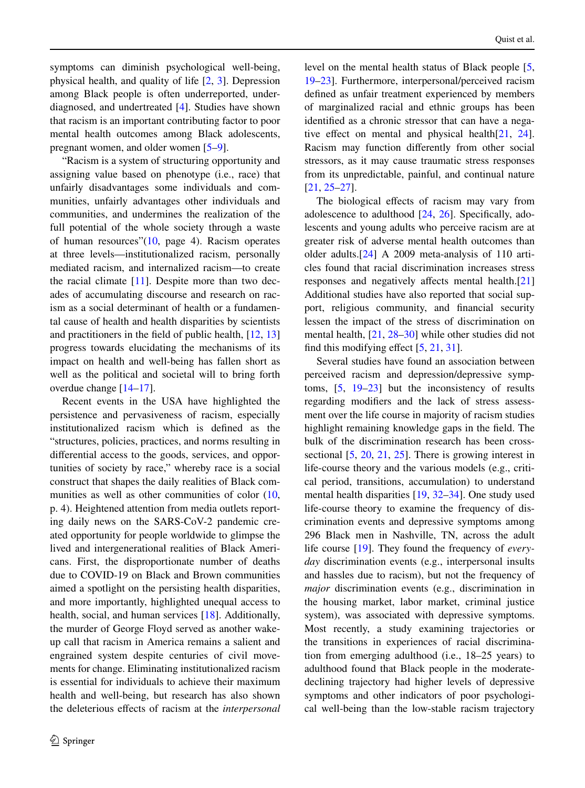symptoms can diminish psychological well-being, physical health, and quality of life [[2,](#page-11-1) [3](#page-11-2)]. Depression among Black people is often underreported, underdiagnosed, and undertreated [[4\]](#page-11-3). Studies have shown that racism is an important contributing factor to poor mental health outcomes among Black adolescents, pregnant women, and older women [\[5](#page-11-4)[–9](#page-11-5)].

"Racism is a system of structuring opportunity and assigning value based on phenotype (i.e., race) that unfairly disadvantages some individuals and communities, unfairly advantages other individuals and communities, and undermines the realization of the full potential of the whole society through a waste of human resources"[\(10](#page-11-6), page 4). Racism operates at three levels—institutionalized racism, personally mediated racism, and internalized racism—to create the racial climate  $[11]$  $[11]$ . Despite more than two decades of accumulating discourse and research on racism as a social determinant of health or a fundamental cause of health and health disparities by scientists and practitioners in the feld of public health, [[12,](#page-11-8) [13\]](#page-11-9) progress towards elucidating the mechanisms of its impact on health and well-being has fallen short as well as the political and societal will to bring forth overdue change [[14–](#page-11-10)[17\]](#page-11-11).

Recent events in the USA have highlighted the persistence and pervasiveness of racism, especially institutionalized racism which is defned as the "structures, policies, practices, and norms resulting in diferential access to the goods, services, and opportunities of society by race," whereby race is a social construct that shapes the daily realities of Black com-munities as well as other communities of color ([10,](#page-11-6) p. 4). Heightened attention from media outlets reporting daily news on the SARS-CoV-2 pandemic created opportunity for people worldwide to glimpse the lived and intergenerational realities of Black Americans. First, the disproportionate number of deaths due to COVID-19 on Black and Brown communities aimed a spotlight on the persisting health disparities, and more importantly, highlighted unequal access to health, social, and human services [\[18](#page-11-12)]. Additionally, the murder of George Floyd served as another wakeup call that racism in America remains a salient and engrained system despite centuries of civil movements for change. Eliminating institutionalized racism is essential for individuals to achieve their maximum health and well-being, but research has also shown the deleterious efects of racism at the *interpersonal* level on the mental health status of Black people [[5,](#page-11-4) [19–](#page-11-13)[23\]](#page-12-0). Furthermore, interpersonal/perceived racism defned as unfair treatment experienced by members of marginalized racial and ethnic groups has been identifed as a chronic stressor that can have a negative effect on mental and physical health $[21, 24]$  $[21, 24]$  $[21, 24]$  $[21, 24]$  $[21, 24]$ . Racism may function diferently from other social stressors, as it may cause traumatic stress responses from its unpredictable, painful, and continual nature [\[21](#page-12-1), [25](#page-12-3)[–27](#page-12-4)].

The biological effects of racism may vary from adolescence to adulthood  $[24, 26]$  $[24, 26]$  $[24, 26]$  $[24, 26]$ . Specifically, adolescents and young adults who perceive racism are at greater risk of adverse mental health outcomes than older adults.[\[24](#page-12-2)] A 2009 meta-analysis of 110 articles found that racial discrimination increases stress responses and negatively affects mental health.[[21\]](#page-12-1) Additional studies have also reported that social support, religious community, and fnancial security lessen the impact of the stress of discrimination on mental health, [[21,](#page-12-1) [28–](#page-12-6)[30\]](#page-12-7) while other studies did not find this modifying effect  $[5, 21, 31]$  $[5, 21, 31]$  $[5, 21, 31]$  $[5, 21, 31]$  $[5, 21, 31]$  $[5, 21, 31]$ .

Several studies have found an association between perceived racism and depression/depressive symptoms, [[5,](#page-11-4) [19](#page-11-13)[–23](#page-12-0)] but the inconsistency of results regarding modifers and the lack of stress assessment over the life course in majority of racism studies highlight remaining knowledge gaps in the feld. The bulk of the discrimination research has been cross-sectional [[5,](#page-11-4) [20](#page-12-9), [21](#page-12-1), [25\]](#page-12-3). There is growing interest in life-course theory and the various models (e.g., critical period, transitions, accumulation) to understand mental health disparities [[19,](#page-11-13) [32–](#page-12-10)[34\]](#page-12-11). One study used life-course theory to examine the frequency of discrimination events and depressive symptoms among 296 Black men in Nashville, TN, across the adult life course [\[19](#page-11-13)]. They found the frequency of *everyday* discrimination events (e.g., interpersonal insults and hassles due to racism), but not the frequency of *major* discrimination events (e.g., discrimination in the housing market, labor market, criminal justice system), was associated with depressive symptoms. Most recently, a study examining trajectories or the transitions in experiences of racial discrimination from emerging adulthood (i.e., 18–25 years) to adulthood found that Black people in the moderatedeclining trajectory had higher levels of depressive symptoms and other indicators of poor psychological well-being than the low-stable racism trajectory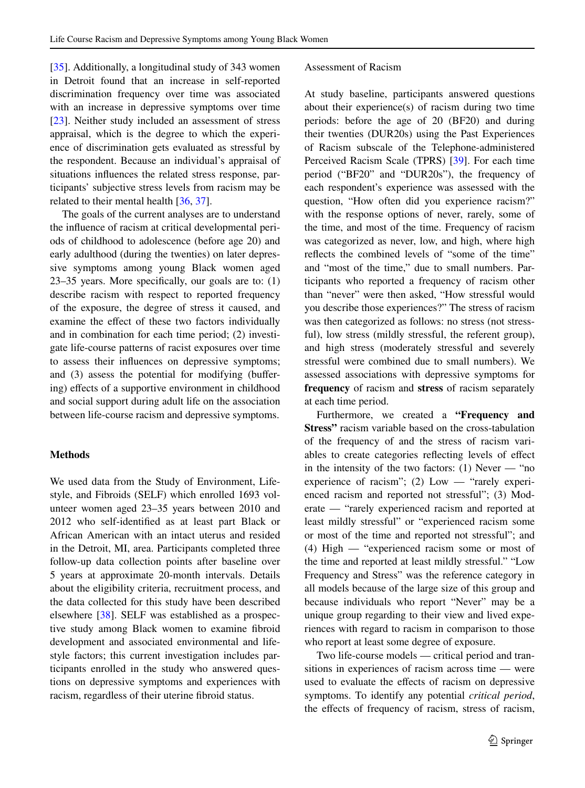[\[35](#page-12-12)]. Additionally, a longitudinal study of 343 women in Detroit found that an increase in self-reported discrimination frequency over time was associated with an increase in depressive symptoms over time [\[23](#page-12-0)]. Neither study included an assessment of stress appraisal, which is the degree to which the experience of discrimination gets evaluated as stressful by the respondent. Because an individual's appraisal of situations infuences the related stress response, participants' subjective stress levels from racism may be related to their mental health [[36,](#page-12-13) [37\]](#page-12-14).

The goals of the current analyses are to understand the infuence of racism at critical developmental periods of childhood to adolescence (before age 20) and early adulthood (during the twenties) on later depressive symptoms among young Black women aged 23–35 years. More specifcally, our goals are to: (1) describe racism with respect to reported frequency of the exposure, the degree of stress it caused, and examine the efect of these two factors individually and in combination for each time period; (2) investigate life-course patterns of racist exposures over time to assess their infuences on depressive symptoms; and (3) assess the potential for modifying (bufering) efects of a supportive environment in childhood and social support during adult life on the association between life-course racism and depressive symptoms.

#### **Methods**

We used data from the Study of Environment, Lifestyle, and Fibroids (SELF) which enrolled 1693 volunteer women aged 23–35 years between 2010 and 2012 who self-identifed as at least part Black or African American with an intact uterus and resided in the Detroit, MI, area. Participants completed three follow-up data collection points after baseline over 5 years at approximate 20-month intervals. Details about the eligibility criteria, recruitment process, and the data collected for this study have been described elsewhere [[38\]](#page-12-15). SELF was established as a prospective study among Black women to examine fbroid development and associated environmental and lifestyle factors; this current investigation includes participants enrolled in the study who answered questions on depressive symptoms and experiences with racism, regardless of their uterine fbroid status.

#### Assessment of Racism

At study baseline, participants answered questions about their experience(s) of racism during two time periods: before the age of 20 (BF20) and during their twenties (DUR20s) using the Past Experiences of Racism subscale of the Telephone-administered Perceived Racism Scale (TPRS) [[39\]](#page-12-16). For each time period ("BF20" and "DUR20s"), the frequency of each respondent's experience was assessed with the question, "How often did you experience racism?" with the response options of never, rarely, some of the time, and most of the time. Frequency of racism was categorized as never, low, and high, where high refects the combined levels of "some of the time" and "most of the time," due to small numbers. Participants who reported a frequency of racism other than "never" were then asked, "How stressful would you describe those experiences?" The stress of racism was then categorized as follows: no stress (not stressful), low stress (mildly stressful, the referent group), and high stress (moderately stressful and severely stressful were combined due to small numbers). We assessed associations with depressive symptoms for **frequency** of racism and **stress** of racism separately at each time period.

Furthermore, we created a **"Frequency and Stress"** racism variable based on the cross-tabulation of the frequency of and the stress of racism variables to create categories refecting levels of efect in the intensity of the two factors:  $(1)$  Never — "no experience of racism"; (2) Low — "rarely experienced racism and reported not stressful"; (3) Moderate — "rarely experienced racism and reported at least mildly stressful" or "experienced racism some or most of the time and reported not stressful"; and (4) High — "experienced racism some or most of the time and reported at least mildly stressful." "Low Frequency and Stress" was the reference category in all models because of the large size of this group and because individuals who report "Never" may be a unique group regarding to their view and lived experiences with regard to racism in comparison to those who report at least some degree of exposure.

Two life-course models — critical period and transitions in experiences of racism across time — were used to evaluate the efects of racism on depressive symptoms. To identify any potential *critical period*, the efects of frequency of racism, stress of racism,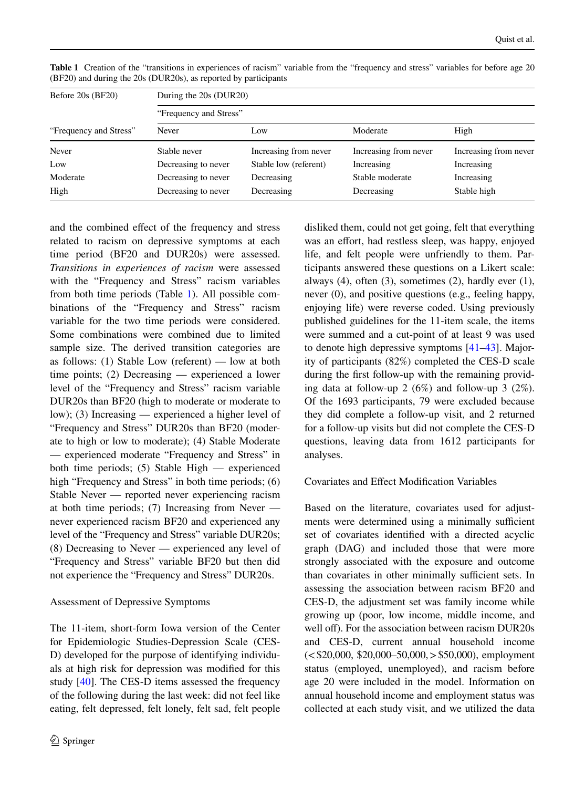| Before $20s$ (BF20)<br>"Frequency and Stress" | During the 20s (DUR20)<br>"Frequency and Stress" |                       |                       |                       |                       |  |
|-----------------------------------------------|--------------------------------------------------|-----------------------|-----------------------|-----------------------|-----------------------|--|
|                                               |                                                  |                       |                       |                       |                       |  |
|                                               | Never                                            | Stable never          | Increasing from never | Increasing from never | Increasing from never |  |
| Low                                           | Decreasing to never                              | Stable low (referent) | Increasing            | Increasing            |                       |  |
| Moderate                                      | Decreasing to never                              | Decreasing            | Stable moderate       | Increasing            |                       |  |
| High                                          | Decreasing to never                              | Decreasing            | Decreasing            | Stable high           |                       |  |

<span id="page-5-0"></span>**Table 1** Creation of the "transitions in experiences of racism" variable from the "frequency and stress" variables for before age 20 (BF20) and during the 20s (DUR20s), as reported by participants

and the combined efect of the frequency and stress related to racism on depressive symptoms at each time period (BF20 and DUR20s) were assessed. *Transitions in experiences of racism* were assessed with the "Frequency and Stress" racism variables from both time periods (Table [1\)](#page-5-0). All possible combinations of the "Frequency and Stress" racism variable for the two time periods were considered. Some combinations were combined due to limited sample size. The derived transition categories are as follows: (1) Stable Low (referent) — low at both time points; (2) Decreasing — experienced a lower level of the "Frequency and Stress" racism variable DUR20s than BF20 (high to moderate or moderate to low); (3) Increasing — experienced a higher level of "Frequency and Stress" DUR20s than BF20 (moderate to high or low to moderate); (4) Stable Moderate — experienced moderate "Frequency and Stress" in both time periods; (5) Stable High — experienced high "Frequency and Stress" in both time periods; (6) Stable Never — reported never experiencing racism at both time periods; (7) Increasing from Never never experienced racism BF20 and experienced any level of the "Frequency and Stress" variable DUR20s; (8) Decreasing to Never — experienced any level of "Frequency and Stress" variable BF20 but then did not experience the "Frequency and Stress" DUR20s.

# Assessment of Depressive Symptoms

The 11-item, short-form Iowa version of the Center for Epidemiologic Studies-Depression Scale (CES-D) developed for the purpose of identifying individuals at high risk for depression was modifed for this study [[40\]](#page-12-17). The CES-D items assessed the frequency of the following during the last week: did not feel like eating, felt depressed, felt lonely, felt sad, felt people disliked them, could not get going, felt that everything was an effort, had restless sleep, was happy, enjoyed life, and felt people were unfriendly to them. Participants answered these questions on a Likert scale: always (4), often (3), sometimes (2), hardly ever (1), never (0), and positive questions (e.g., feeling happy, enjoying life) were reverse coded. Using previously published guidelines for the 11-item scale, the items were summed and a cut-point of at least 9 was used to denote high depressive symptoms [[41–](#page-12-18)[43\]](#page-12-19). Majority of participants (82%) completed the CES-D scale during the frst follow-up with the remaining providing data at follow-up 2 (6%) and follow-up 3 (2%). Of the 1693 participants, 79 were excluded because they did complete a follow-up visit, and 2 returned for a follow-up visits but did not complete the CES-D questions, leaving data from 1612 participants for analyses.

# Covariates and Efect Modifcation Variables

Based on the literature, covariates used for adjustments were determined using a minimally sufficient set of covariates identifed with a directed acyclic graph (DAG) and included those that were more strongly associated with the exposure and outcome than covariates in other minimally sufficient sets. In assessing the association between racism BF20 and CES-D, the adjustment set was family income while growing up (poor, low income, middle income, and well off). For the association between racism DUR20s and CES-D, current annual household income  $(<$ \$20,000, \$20,000–50,000, > \$50,000), employment status (employed, unemployed), and racism before age 20 were included in the model. Information on annual household income and employment status was collected at each study visit, and we utilized the data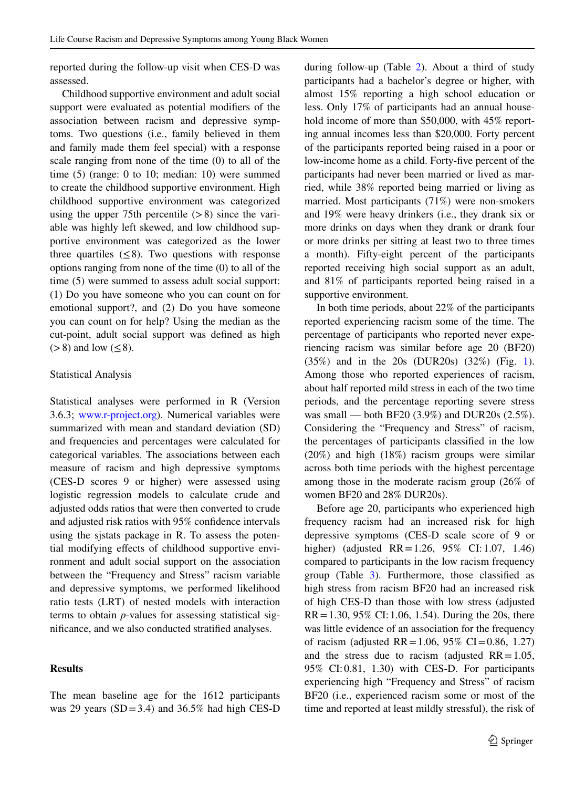reported during the follow-up visit when CES-D was assessed.

Childhood supportive environment and adult social support were evaluated as potential modifers of the association between racism and depressive symptoms. Two questions (i.e., family believed in them and family made them feel special) with a response scale ranging from none of the time (0) to all of the time (5) (range: 0 to 10; median: 10) were summed to create the childhood supportive environment. High childhood supportive environment was categorized using the upper 75th percentile  $(>8)$  since the variable was highly left skewed, and low childhood supportive environment was categorized as the lower three quartiles  $(\leq 8)$ . Two questions with response options ranging from none of the time (0) to all of the time (5) were summed to assess adult social support: (1) Do you have someone who you can count on for emotional support?, and (2) Do you have someone you can count on for help? Using the median as the cut-point, adult social support was defned as high  $(>8)$  and low  $(< 8)$ .

#### Statistical Analysis

Statistical analyses were performed in R (Version 3.6.3; [www.r-project.org\)](http://www.r-project.org). Numerical variables were summarized with mean and standard deviation (SD) and frequencies and percentages were calculated for categorical variables. The associations between each measure of racism and high depressive symptoms (CES-D scores 9 or higher) were assessed using logistic regression models to calculate crude and adjusted odds ratios that were then converted to crude and adjusted risk ratios with 95% confdence intervals using the sjstats package in R. To assess the potential modifying efects of childhood supportive environment and adult social support on the association between the "Frequency and Stress" racism variable and depressive symptoms, we performed likelihood ratio tests (LRT) of nested models with interaction terms to obtain *p*-values for assessing statistical signifcance, and we also conducted stratifed analyses.

#### **Results**

The mean baseline age for the 1612 participants was 29 years  $(SD=3.4)$  and 36.5% had high CES-D during follow-up (Table [2\)](#page-7-0). About a third of study participants had a bachelor's degree or higher, with almost 15% reporting a high school education or less. Only 17% of participants had an annual household income of more than \$50,000, with 45% reporting annual incomes less than \$20,000. Forty percent of the participants reported being raised in a poor or low-income home as a child. Forty-fve percent of the participants had never been married or lived as married, while 38% reported being married or living as married. Most participants (71%) were non-smokers and 19% were heavy drinkers (i.e., they drank six or more drinks on days when they drank or drank four or more drinks per sitting at least two to three times a month). Fifty-eight percent of the participants reported receiving high social support as an adult, and 81% of participants reported being raised in a supportive environment.

In both time periods, about 22% of the participants reported experiencing racism some of the time. The percentage of participants who reported never experiencing racism was similar before age 20 (BF20) (35%) and in the 20s (DUR20s) (32%) (Fig. [1](#page-8-0)). Among those who reported experiences of racism, about half reported mild stress in each of the two time periods, and the percentage reporting severe stress was small — both BF20 (3.9%) and DUR20s (2.5%). Considering the "Frequency and Stress" of racism, the percentages of participants classifed in the low (20%) and high (18%) racism groups were similar across both time periods with the highest percentage among those in the moderate racism group (26% of women BF20 and 28% DUR20s).

Before age 20, participants who experienced high frequency racism had an increased risk for high depressive symptoms (CES-D scale score of 9 or higher) (adjusted RR=1.26, 95% CI: 1.07, 1.46) compared to participants in the low racism frequency group (Table [3\)](#page-9-0). Furthermore, those classifed as high stress from racism BF20 had an increased risk of high CES-D than those with low stress (adjusted  $RR = 1.30, 95\%$  CI: 1.06, 1.54). During the 20s, there was little evidence of an association for the frequency of racism (adjusted RR = 1.06, 95% CI = 0.86, 1.27) and the stress due to racism (adjusted  $RR = 1.05$ , 95% CI:0.81, 1.30) with CES-D. For participants experiencing high "Frequency and Stress" of racism BF20 (i.e., experienced racism some or most of the time and reported at least mildly stressful), the risk of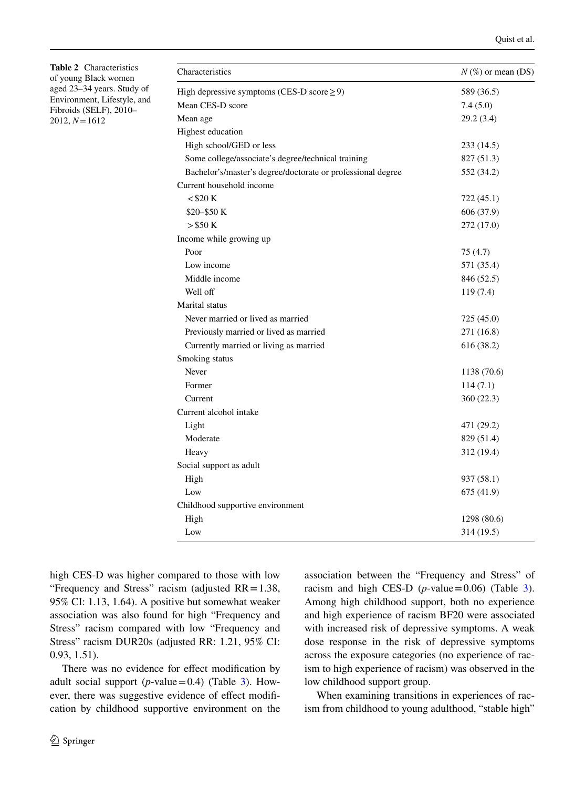<span id="page-7-0"></span>**Table 2** Characteristics of young Black women aged 23–34 years. Study of Environment, Lifestyle, and Fibroids (SELF), 2010– 2012, *N*=1612

| Characteristics                                             | $N$ (%) or mean (DS) |
|-------------------------------------------------------------|----------------------|
| High depressive symptoms (CES-D score $\geq$ 9)             | 589 (36.5)           |
| Mean CES-D score                                            | 7.4(5.0)             |
| Mean age                                                    | 29.2 (3.4)           |
| Highest education                                           |                      |
| High school/GED or less                                     | 233 (14.5)           |
| Some college/associate's degree/technical training          | 827 (51.3)           |
| Bachelor's/master's degree/doctorate or professional degree | 552 (34.2)           |
| Current household income                                    |                      |
| $<$ \$20 K                                                  | 722 (45.1)           |
| $$20 - $50K$                                                | 606 (37.9)           |
| $>$ \$50 K                                                  | 272 (17.0)           |
| Income while growing up                                     |                      |
| Poor                                                        | 75(4.7)              |
| Low income                                                  | 571 (35.4)           |
| Middle income                                               | 846 (52.5)           |
| Well off                                                    | 119 (7.4)            |
| Marital status                                              |                      |
| Never married or lived as married                           | 725 (45.0)           |
| Previously married or lived as married                      | 271 (16.8)           |
| Currently married or living as married                      | 616 (38.2)           |
| Smoking status                                              |                      |
| Never                                                       | 1138 (70.6)          |
| Former                                                      | 114(7.1)             |
| Current                                                     | 360 (22.3)           |
| Current alcohol intake                                      |                      |
| Light                                                       | 471 (29.2)           |
| Moderate                                                    | 829 (51.4)           |
| Heavy                                                       | 312 (19.4)           |
| Social support as adult                                     |                      |
| High                                                        | 937 (58.1)           |
| Low                                                         | 675 (41.9)           |
| Childhood supportive environment                            |                      |
| High                                                        | 1298 (80.6)          |
| Low                                                         | 314 (19.5)           |

high CES-D was higher compared to those with low "Frequency and Stress" racism (adjusted RR=1.38, 95% CI: 1.13, 1.64). A positive but somewhat weaker association was also found for high "Frequency and Stress" racism compared with low "Frequency and Stress" racism DUR20s (adjusted RR: 1.21, 95% CI: 0.93, 1.51).

There was no evidence for effect modification by adult social support (*p*-value=0.4) (Table  $3$ ). However, there was suggestive evidence of efect modifcation by childhood supportive environment on the association between the "Frequency and Stress" of racism and high CES-D ( $p$ -value=0.06) (Table [3](#page-9-0)). Among high childhood support, both no experience and high experience of racism BF20 were associated with increased risk of depressive symptoms. A weak dose response in the risk of depressive symptoms across the exposure categories (no experience of racism to high experience of racism) was observed in the low childhood support group.

When examining transitions in experiences of racism from childhood to young adulthood, "stable high"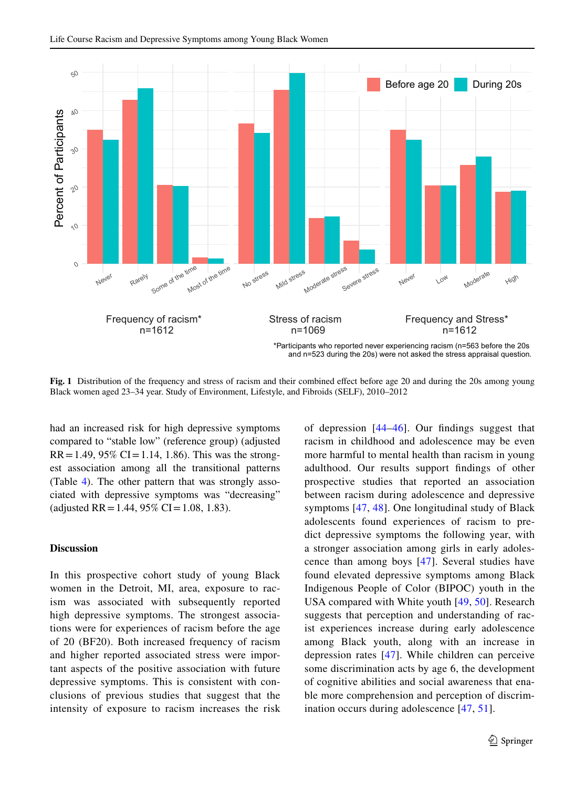

<span id="page-8-0"></span>**Fig. 1** Distribution of the frequency and stress of racism and their combined effect before age 20 and during the 20s among young Black women aged 23–34 year. Study of Environment, Lifestyle, and Fibroids (SELF), 2010–2012

had an increased risk for high depressive symptoms compared to "stable low" (reference group) (adjusted  $RR = 1.49, 95\% \text{ CI} = 1.14, 1.86$ . This was the strongest association among all the transitional patterns (Table [4](#page-9-1)). The other pattern that was strongly associated with depressive symptoms was "decreasing" (adjusted RR = 1.44, 95% CI = 1.08, 1.83).

#### **Discussion**

In this prospective cohort study of young Black women in the Detroit, MI, area, exposure to racism was associated with subsequently reported high depressive symptoms. The strongest associations were for experiences of racism before the age of 20 (BF20). Both increased frequency of racism and higher reported associated stress were important aspects of the positive association with future depressive symptoms. This is consistent with conclusions of previous studies that suggest that the intensity of exposure to racism increases the risk of depression [[44](#page-12-20)[–46](#page-12-21)]. Our fndings suggest that racism in childhood and adolescence may be even more harmful to mental health than racism in young adulthood. Our results support fndings of other prospective studies that reported an association between racism during adolescence and depressive symptoms [\[47](#page-12-22), [48](#page-12-23)]. One longitudinal study of Black adolescents found experiences of racism to predict depressive symptoms the following year, with a stronger association among girls in early adolescence than among boys [\[47\]](#page-12-22). Several studies have found elevated depressive symptoms among Black Indigenous People of Color (BIPOC) youth in the USA compared with White youth [[49,](#page-12-24) [50](#page-12-25)]. Research suggests that perception and understanding of racist experiences increase during early adolescence among Black youth, along with an increase in depression rates [[47](#page-12-22)]. While children can perceive some discrimination acts by age 6, the development of cognitive abilities and social awareness that enable more comprehension and perception of discrimination occurs during adolescence [[47,](#page-12-22) [51](#page-13-0)].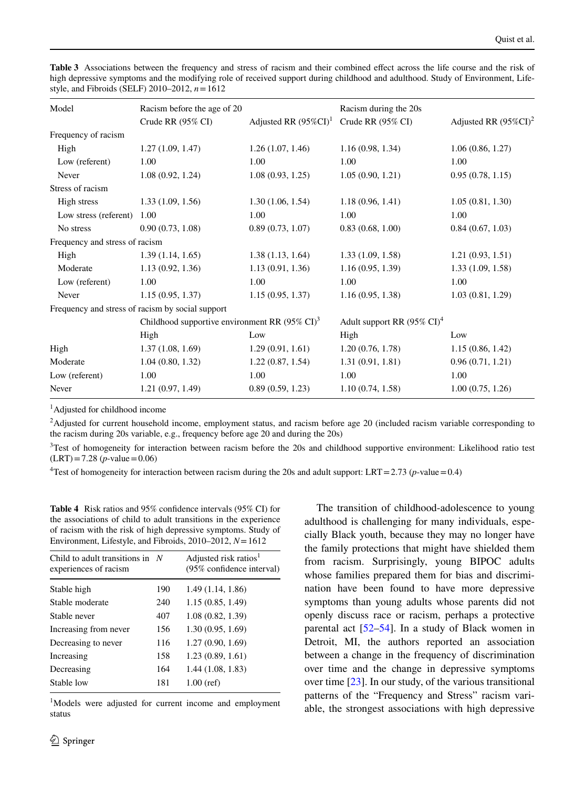<span id="page-9-0"></span>**Table 3** Associations between the frequency and stress of racism and their combined efect across the life course and the risk of high depressive symptoms and the modifying role of received support during childhood and adulthood. Study of Environment, Lifestyle, and Fibroids (SELF) 2010–2012, *n*=1612

| Model                          | Racism before the age of 20                               |                          | Racism during the 20s                  |                          |
|--------------------------------|-----------------------------------------------------------|--------------------------|----------------------------------------|--------------------------|
|                                | Crude RR (95% CI)                                         | Adjusted RR $(95\%CI)^1$ | Crude RR (95% CI)                      | Adjusted RR $(95\%CI)^2$ |
| Frequency of racism            |                                                           |                          |                                        |                          |
| High                           | 1.27(1.09, 1.47)                                          | 1.26(1.07, 1.46)         | 1.16(0.98, 1.34)                       | 1.06(0.86, 1.27)         |
| Low (referent)                 | 1.00                                                      | 1.00                     | 1.00                                   | 1.00                     |
| Never                          | 1.08(0.92, 1.24)                                          | 1.08(0.93, 1.25)         | 1.05(0.90, 1.21)                       | 0.95(0.78, 1.15)         |
| Stress of racism               |                                                           |                          |                                        |                          |
| High stress                    | 1.33(1.09, 1.56)                                          | 1.30(1.06, 1.54)         | 1.18(0.96, 1.41)                       | 1.05(0.81, 1.30)         |
| Low stress (referent)          | 1.00                                                      | 1.00                     | 1.00                                   | 1.00                     |
| No stress                      | 0.90(0.73, 1.08)                                          | 0.89(0.73, 1.07)         | 0.83(0.68, 1.00)                       | 0.84(0.67, 1.03)         |
| Frequency and stress of racism |                                                           |                          |                                        |                          |
| High                           | 1.39(1.14, 1.65)                                          | 1.38(1.13, 1.64)         | 1.33(1.09, 1.58)                       | 1.21(0.93, 1.51)         |
| Moderate                       | 1.13(0.92, 1.36)                                          | 1.13(0.91, 1.36)         | 1.16(0.95, 1.39)                       | 1.33(1.09, 1.58)         |
| Low (referent)                 | 1.00                                                      | 1.00                     | 1.00                                   | 1.00                     |
| Never                          | 1.15(0.95, 1.37)                                          | 1.15(0.95, 1.37)         | 1.16(0.95, 1.38)                       | 1.03(0.81, 1.29)         |
|                                | Frequency and stress of racism by social support          |                          |                                        |                          |
|                                | Childhood supportive environment RR $(95\% \text{ CI})^3$ |                          | Adult support RR $(95\% \text{ CI})^4$ |                          |
|                                | High                                                      | Low                      | High                                   | Low                      |
| High                           | 1.37(1.08, 1.69)                                          | 1.29(0.91, 1.61)         | 1.20(0.76, 1.78)                       | 1.15(0.86, 1.42)         |
| Moderate                       | 1.04(0.80, 1.32)                                          | 1.22(0.87, 1.54)         | 1.31(0.91, 1.81)                       | 0.96(0.71, 1.21)         |
| Low (referent)                 | 1.00                                                      | 1.00                     | 1.00                                   | 1.00                     |
| Never                          | 1.21(0.97, 1.49)                                          | 0.89(0.59, 1.23)         | 1.10(0.74, 1.58)                       | 1.00(0.75, 1.26)         |
|                                |                                                           |                          |                                        |                          |

1 Adjusted for childhood income

<sup>2</sup>Adjusted for current household income, employment status, and racism before age 20 (included racism variable corresponding to the racism during 20s variable, e.g., frequency before age 20 and during the 20s)

<sup>3</sup>Test of homogeneity for interaction between racism before the 20s and childhood supportive environment: Likelihood ratio test  $(LRT) = 7.28$  (*p*-value = 0.06)

<sup>4</sup>Test of homogeneity for interaction between racism during the 20s and adult support: LRT = 2.73 (*p*-value = 0.4)

<span id="page-9-1"></span>**Table 4** Risk ratios and 95% confdence intervals (95% CI) for the associations of child to adult transitions in the experience of racism with the risk of high depressive symptoms. Study of Environment, Lifestyle, and Fibroids, 2010–2012, *N*=1612

| Child to adult transitions in $N$<br>experiences of racism |     | Adjusted risk ratios <sup>1</sup><br>(95% confidence interval) |
|------------------------------------------------------------|-----|----------------------------------------------------------------|
| Stable high                                                | 190 | 1.49 (1.14, 1.86)                                              |
| Stable moderate                                            | 240 | 1.15(0.85, 1.49)                                               |
| Stable never                                               | 407 | 1.08(0.82, 1.39)                                               |
| Increasing from never                                      | 156 | 1.30(0.95, 1.69)                                               |
| Decreasing to never                                        | 116 | 1.27(0.90, 1.69)                                               |
| Increasing                                                 | 158 | 1.23(0.89, 1.61)                                               |
| Decreasing                                                 | 164 | 1.44(1.08, 1.83)                                               |
| Stable low                                                 | 181 | $1.00$ (ref)                                                   |

1 Models were adjusted for current income and employment status

The transition of childhood-adolescence to young adulthood is challenging for many individuals, especially Black youth, because they may no longer have the family protections that might have shielded them from racism. Surprisingly, young BIPOC adults whose families prepared them for bias and discrimination have been found to have more depressive symptoms than young adults whose parents did not openly discuss race or racism, perhaps a protective parental act [[52–](#page-13-1)[54\]](#page-13-2). In a study of Black women in Detroit, MI, the authors reported an association between a change in the frequency of discrimination over time and the change in depressive symptoms over time [[23\]](#page-12-0). In our study, of the various transitional patterns of the "Frequency and Stress" racism variable, the strongest associations with high depressive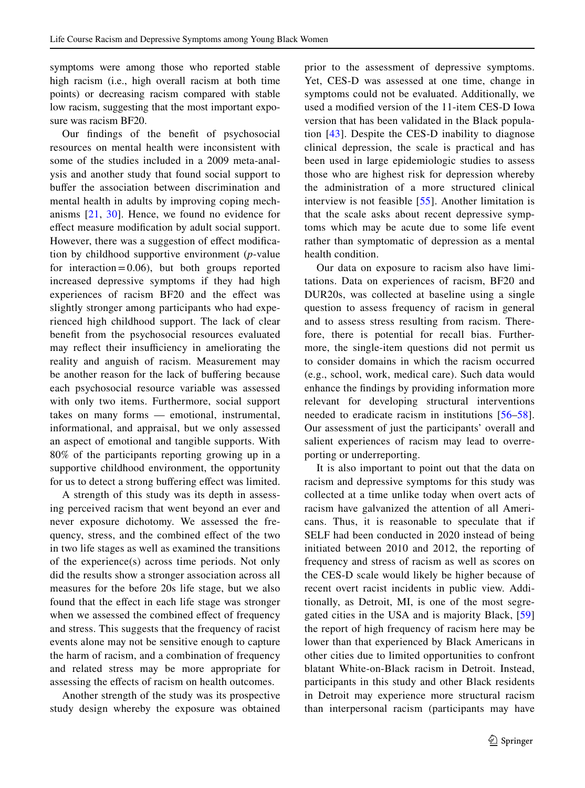symptoms were among those who reported stable high racism (i.e., high overall racism at both time points) or decreasing racism compared with stable low racism, suggesting that the most important exposure was racism BF20.

Our fndings of the beneft of psychosocial resources on mental health were inconsistent with some of the studies included in a 2009 meta-analysis and another study that found social support to bufer the association between discrimination and mental health in adults by improving coping mechanisms [[21](#page-12-1), [30\]](#page-12-7). Hence, we found no evidence for efect measure modifcation by adult social support. However, there was a suggestion of effect modification by childhood supportive environment (*p*-value for interaction=0.06), but both groups reported increased depressive symptoms if they had high experiences of racism BF20 and the efect was slightly stronger among participants who had experienced high childhood support. The lack of clear beneft from the psychosocial resources evaluated may reflect their insufficiency in ameliorating the reality and anguish of racism. Measurement may be another reason for the lack of buffering because each psychosocial resource variable was assessed with only two items. Furthermore, social support takes on many forms — emotional, instrumental, informational, and appraisal, but we only assessed an aspect of emotional and tangible supports. With 80% of the participants reporting growing up in a supportive childhood environment, the opportunity for us to detect a strong buffering effect was limited.

A strength of this study was its depth in assessing perceived racism that went beyond an ever and never exposure dichotomy. We assessed the frequency, stress, and the combined efect of the two in two life stages as well as examined the transitions of the experience(s) across time periods. Not only did the results show a stronger association across all measures for the before 20s life stage, but we also found that the effect in each life stage was stronger when we assessed the combined effect of frequency and stress. This suggests that the frequency of racist events alone may not be sensitive enough to capture the harm of racism, and a combination of frequency and related stress may be more appropriate for assessing the efects of racism on health outcomes.

Another strength of the study was its prospective study design whereby the exposure was obtained prior to the assessment of depressive symptoms. Yet, CES-D was assessed at one time, change in symptoms could not be evaluated. Additionally, we used a modifed version of the 11-item CES-D Iowa version that has been validated in the Black population [\[43\]](#page-12-19). Despite the CES-D inability to diagnose clinical depression, the scale is practical and has been used in large epidemiologic studies to assess those who are highest risk for depression whereby the administration of a more structured clinical interview is not feasible [[55](#page-13-3)]. Another limitation is that the scale asks about recent depressive symptoms which may be acute due to some life event rather than symptomatic of depression as a mental health condition.

Our data on exposure to racism also have limitations. Data on experiences of racism, BF20 and DUR20s, was collected at baseline using a single question to assess frequency of racism in general and to assess stress resulting from racism. Therefore, there is potential for recall bias. Furthermore, the single-item questions did not permit us to consider domains in which the racism occurred (e.g., school, work, medical care). Such data would enhance the fndings by providing information more relevant for developing structural interventions needed to eradicate racism in institutions [[56–](#page-13-4)[58](#page-13-5)]. Our assessment of just the participants' overall and salient experiences of racism may lead to overreporting or underreporting.

It is also important to point out that the data on racism and depressive symptoms for this study was collected at a time unlike today when overt acts of racism have galvanized the attention of all Americans. Thus, it is reasonable to speculate that if SELF had been conducted in 2020 instead of being initiated between 2010 and 2012, the reporting of frequency and stress of racism as well as scores on the CES-D scale would likely be higher because of recent overt racist incidents in public view. Additionally, as Detroit, MI, is one of the most segregated cities in the USA and is majority Black, [[59\]](#page-13-6) the report of high frequency of racism here may be lower than that experienced by Black Americans in other cities due to limited opportunities to confront blatant White-on-Black racism in Detroit. Instead, participants in this study and other Black residents in Detroit may experience more structural racism than interpersonal racism (participants may have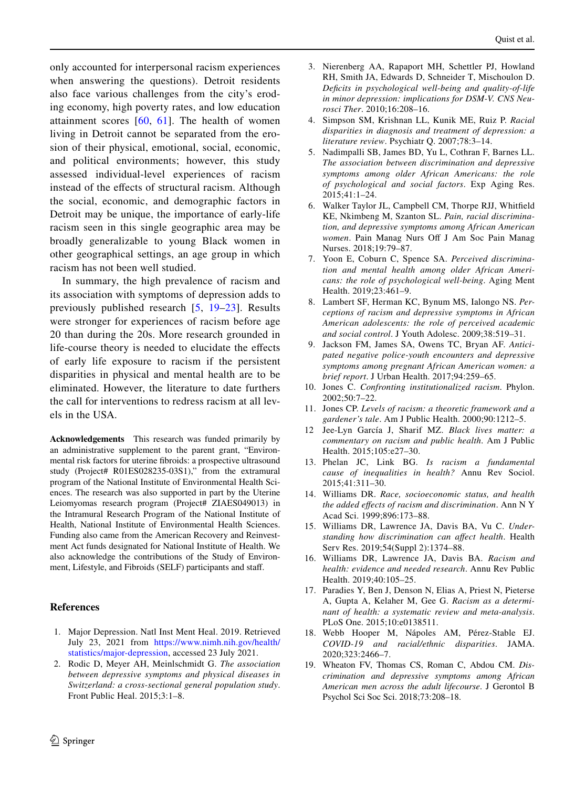only accounted for interpersonal racism experiences when answering the questions). Detroit residents also face various challenges from the city's eroding economy, high poverty rates, and low education attainment scores  $[60, 61]$  $[60, 61]$  $[60, 61]$  $[60, 61]$ . The health of women living in Detroit cannot be separated from the erosion of their physical, emotional, social, economic, and political environments; however, this study assessed individual-level experiences of racism instead of the efects of structural racism. Although the social, economic, and demographic factors in Detroit may be unique, the importance of early-life racism seen in this single geographic area may be broadly generalizable to young Black women in other geographical settings, an age group in which racism has not been well studied.

In summary, the high prevalence of racism and its association with symptoms of depression adds to previously published research [[5,](#page-11-4) [19–](#page-11-13)[23](#page-12-0)]. Results were stronger for experiences of racism before age 20 than during the 20s. More research grounded in life-course theory is needed to elucidate the efects of early life exposure to racism if the persistent disparities in physical and mental health are to be eliminated. However, the literature to date furthers the call for interventions to redress racism at all levels in the USA.

**Acknowledgements** This research was funded primarily by an administrative supplement to the parent grant, "Environmental risk factors for uterine fbroids: a prospective ultrasound study (Project# R01ES028235-03S1)," from the extramural program of the National Institute of Environmental Health Sciences. The research was also supported in part by the Uterine Leiomyomas research program (Project# ZIAES049013) in the Intramural Research Program of the National Institute of Health, National Institute of Environmental Health Sciences. Funding also came from the American Recovery and Reinvestment Act funds designated for National Institute of Health. We also acknowledge the contributions of the Study of Environment, Lifestyle, and Fibroids (SELF) participants and staf.

## **References**

- <span id="page-11-0"></span>1. Major Depression. Natl Inst Ment Heal. 2019. Retrieved July 23, 2021 from [https://www.nimh.nih.gov/health/](https://www.nimh.nih.gov/health/statistics/major-depression) [statistics/major-depression](https://www.nimh.nih.gov/health/statistics/major-depression), accessed 23 July 2021.
- <span id="page-11-1"></span>2. Rodic D, Meyer AH, Meinlschmidt G. *The association between depressive symptoms and physical diseases in Switzerland: a cross-sectional general population study*. Front Public Heal. 2015;3:1–8.
- <span id="page-11-2"></span>3. Nierenberg AA, Rapaport MH, Schettler PJ, Howland RH, Smith JA, Edwards D, Schneider T, Mischoulon D. *Defcits in psychological well-being and quality-of-life in minor depression: implications for DSM-V. CNS Neurosci Ther*. 2010;16:208–16.
- <span id="page-11-3"></span>4. Simpson SM, Krishnan LL, Kunik ME, Ruiz P. *Racial disparities in diagnosis and treatment of depression: a literature review*. Psychiatr Q. 2007;78:3–14.
- <span id="page-11-4"></span>5. Nadimpalli SB, James BD, Yu L, Cothran F, Barnes LL. *The association between discrimination and depressive symptoms among older African Americans: the role of psychological and social factors*. Exp Aging Res. 2015;41:1–24.
- 6. Walker Taylor JL, Campbell CM, Thorpe RJJ, Whitfeld KE, Nkimbeng M, Szanton SL. *Pain, racial discrimination, and depressive symptoms among African American women*. Pain Manag Nurs Of J Am Soc Pain Manag Nurses. 2018;19:79–87.
- 7. Yoon E, Coburn C, Spence SA. *Perceived discrimination and mental health among older African Americans: the role of psychological well-being*. Aging Ment Health. 2019;23:461–9.
- 8. Lambert SF, Herman KC, Bynum MS, Ialongo NS. *Perceptions of racism and depressive symptoms in African American adolescents: the role of perceived academic and social control*. J Youth Adolesc. 2009;38:519–31.
- <span id="page-11-5"></span>9. Jackson FM, James SA, Owens TC, Bryan AF. *Anticipated negative police-youth encounters and depressive symptoms among pregnant African American women: a brief report*. J Urban Health. 2017;94:259–65.
- <span id="page-11-6"></span>10. Jones C. *Confronting institutionalized racism*. Phylon. 2002;50:7–22.
- <span id="page-11-7"></span>11. Jones CP. *Levels of racism: a theoretic framework and a gardener's tale*. Am J Public Health. 2000;90:1212–5.
- <span id="page-11-8"></span>12 Jee-Lyn García J, Sharif MZ. *Black lives matter: a commentary on racism and public health*. Am J Public Health. 2015;105:e27–30.
- <span id="page-11-9"></span>13. Phelan JC, Link BG. *Is racism a fundamental cause of inequalities in health?* Annu Rev Sociol. 2015;41:311–30.
- <span id="page-11-10"></span>14. Williams DR. *Race, socioeconomic status, and health the added efects of racism and discrimination*. Ann N Y Acad Sci. 1999;896:173–88.
- 15. Williams DR, Lawrence JA, Davis BA, Vu C. *Understanding how discrimination can afect health*. Health Serv Res. 2019;54(Suppl 2):1374–88.
- 16. Williams DR, Lawrence JA, Davis BA. *Racism and health: evidence and needed research*. Annu Rev Public Health. 2019;40:105–25.
- <span id="page-11-11"></span>17. Paradies Y, Ben J, Denson N, Elias A, Priest N, Pieterse A, Gupta A, Kelaher M, Gee G. *Racism as a determinant of health: a systematic review and meta-analysis*. PLoS One. 2015;10:e0138511.
- <span id="page-11-12"></span>18. Webb Hooper M, Nápoles AM, Pérez-Stable EJ. *COVID-19 and racial/ethnic disparities*. JAMA. 2020;323:2466–7.
- <span id="page-11-13"></span>19. Wheaton FV, Thomas CS, Roman C, Abdou CM. *Discrimination and depressive symptoms among African American men across the adult lifecourse*. J Gerontol B Psychol Sci Soc Sci. 2018;73:208–18.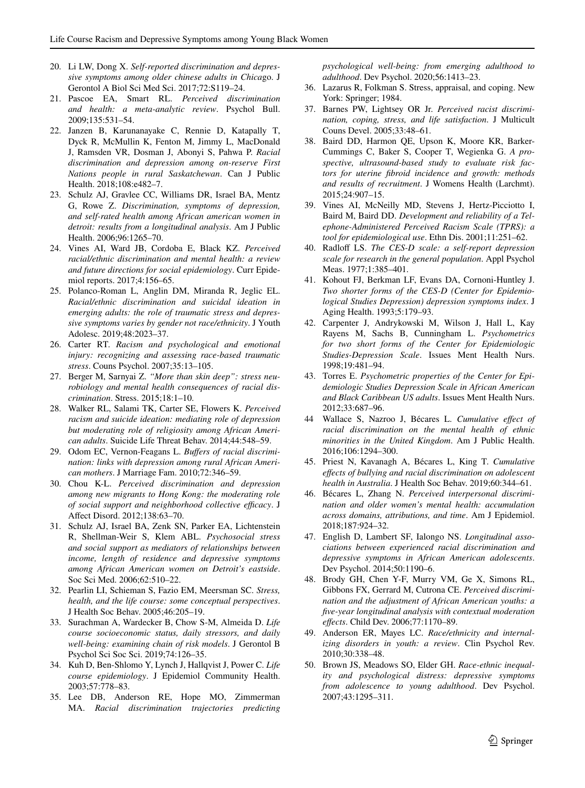- <span id="page-12-9"></span>20. Li LW, Dong X. *Self-reported discrimination and depressive symptoms among older chinese adults in Chica*go. J Gerontol A Biol Sci Med Sci. 2017;72:S119–24.
- <span id="page-12-1"></span>21. Pascoe EA, Smart RL. *Perceived discrimination and health: a meta-analytic review*. Psychol Bull. 2009;135:531–54.
- 22. Janzen B, Karunanayake C, Rennie D, Katapally T, Dyck R, McMullin K, Fenton M, Jimmy L, MacDonald J, Ramsden VR, Dosman J, Abonyi S, Pahwa P. *Racial discrimination and depression among on-reserve First Nations people in rural Saskatchewan*. Can J Public Health. 2018;108:e482–7.
- <span id="page-12-0"></span>23. Schulz AJ, Gravlee CC, Williams DR, Israel BA, Mentz G, Rowe Z. *Discrimination, symptoms of depression, and self-rated health among African american women in detroit: results from a longitudinal analysis*. Am J Public Health. 2006;96:1265–70.
- <span id="page-12-2"></span>24. Vines AI, Ward JB, Cordoba E, Black KZ. *Perceived racial/ethnic discrimination and mental health: a review and future directions for social epidemiology*. Curr Epidemiol reports. 2017;4:156–65.
- <span id="page-12-3"></span>25. Polanco-Roman L, Anglin DM, Miranda R, Jeglic EL. *Racial/ethnic discrimination and suicidal ideation in emerging adults: the role of traumatic stress and depressive symptoms varies by gender not race/ethnicity*. J Youth Adolesc. 2019;48:2023–37.
- <span id="page-12-5"></span>26. Carter RT. *Racism and psychological and emotional injury: recognizing and assessing race-based traumatic stress*. Couns Psychol. 2007;35:13–105.
- <span id="page-12-4"></span>27. Berger M, Sarnyai Z. *"More than skin deep": stress neurobiology and mental health consequences of racial discrimination*. Stress. 2015;18:1–10.
- <span id="page-12-6"></span>28. Walker RL, Salami TK, Carter SE, Flowers K. *Perceived racism and suicide ideation: mediating role of depression but moderating role of religiosity among African American adults*. Suicide Life Threat Behav. 2014;44:548–59.
- 29. Odom EC, Vernon-Feagans L. *Bufers of racial discrimination: links with depression among rural African American mothers*. J Marriage Fam. 2010;72:346–59.
- <span id="page-12-7"></span>30. Chou K-L. *Perceived discrimination and depression among new migrants to Hong Kong: the moderating role*  of social support and neighborhood collective efficacy. J Afect Disord. 2012;138:63–70.
- <span id="page-12-8"></span>31. Schulz AJ, Israel BA, Zenk SN, Parker EA, Lichtenstein R, Shellman-Weir S, Klem ABL. *Psychosocial stress and social support as mediators of relationships between income, length of residence and depressive symptoms among African American women on Detroit's eastside*. Soc Sci Med. 2006;62:510–22.
- <span id="page-12-10"></span>32. Pearlin LI, Schieman S, Fazio EM, Meersman SC. *Stress, health, and the life course: some conceptual perspectives*. J Health Soc Behav. 2005;46:205–19.
- 33. Surachman A, Wardecker B, Chow S-M, Almeida D. *Life course socioeconomic status, daily stressors, and daily well-being: examining chain of risk models*. J Gerontol B Psychol Sci Soc Sci. 2019;74:126–35.
- <span id="page-12-11"></span>34. Kuh D, Ben-Shlomo Y, Lynch J, Hallqvist J, Power C. *Life course epidemiology*. J Epidemiol Community Health. 2003;57:778–83.
- <span id="page-12-12"></span>35. Lee DB, Anderson RE, Hope MO, Zimmerman MA. *Racial discrimination trajectories predicting*

*psychological well-being: from emerging adulthood to adulthood*. Dev Psychol. 2020;56:1413–23.

- <span id="page-12-13"></span>36. Lazarus R, Folkman S. Stress, appraisal, and coping. New York: Springer; 1984.
- <span id="page-12-14"></span>37. Barnes PW, Lightsey OR Jr. *Perceived racist discrimination, coping, stress, and life satisfaction*. J Multicult Couns Devel. 2005;33:48–61.
- <span id="page-12-15"></span>38. Baird DD, Harmon QE, Upson K, Moore KR, Barker-Cummings C, Baker S, Cooper T, Wegienka G. *A prospective, ultrasound-based study to evaluate risk factors for uterine fbroid incidence and growth: methods and results of recruitment*. J Womens Health (Larchmt). 2015;24:907–15.
- <span id="page-12-16"></span>39. Vines AI, McNeilly MD, Stevens J, Hertz-Picciotto I, Baird M, Baird DD. *Development and reliability of a Telephone-Administered Perceived Racism Scale (TPRS): a tool for epidemiological use*. Ethn Dis. 2001;11:251–62.
- <span id="page-12-17"></span>40. Radloff LS. *The CES-D scale: a self-report depression scale for research in the general population*. Appl Psychol Meas. 1977;1:385–401.
- <span id="page-12-18"></span>41. Kohout FJ, Berkman LF, Evans DA, Cornoni-Huntley J. *Two shorter forms of the CES-D (Center for Epidemiological Studies Depression) depression symptoms index*. J Aging Health. 1993;5:179–93.
- 42. Carpenter J, Andrykowski M, Wilson J, Hall L, Kay Rayens M, Sachs B, Cunningham L. *Psychometrics for two short forms of the Center for Epidemiologic Studies-Depression Scale*. Issues Ment Health Nurs. 1998;19:481–94.
- <span id="page-12-19"></span>43. Torres E. *Psychometric properties of the Center for Epidemiologic Studies Depression Scale in African American and Black Caribbean US adults*. Issues Ment Health Nurs. 2012;33:687–96.
- <span id="page-12-20"></span>44 Wallace S, Nazroo J, Bécares L. *Cumulative efect of racial discrimination on the mental health of ethnic minorities in the United Kingdom*. Am J Public Health. 2016;106:1294–300.
- 45. Priest N, Kavanagh A, Bécares L, King T. *Cumulative efects of bullying and racial discrimination on adolescent health in Australia*. J Health Soc Behav. 2019;60:344–61.
- <span id="page-12-21"></span>46. Bécares L, Zhang N. *Perceived interpersonal discrimination and older women's mental health: accumulation across domains, attributions, and time*. Am J Epidemiol. 2018;187:924–32.
- <span id="page-12-22"></span>47. English D, Lambert SF, Ialongo NS. *Longitudinal associations between experienced racial discrimination and depressive symptoms in African American adolescents*. Dev Psychol. 2014;50:1190–6.
- <span id="page-12-23"></span>48. Brody GH, Chen Y-F, Murry VM, Ge X, Simons RL, Gibbons FX, Gerrard M, Cutrona CE. *Perceived discrimination and the adjustment of African American youths: a fve-year longitudinal analysis with contextual moderation efects*. Child Dev. 2006;77:1170–89.
- <span id="page-12-24"></span>49. Anderson ER, Mayes LC. *Race/ethnicity and internalizing disorders in youth: a review*. Clin Psychol Rev. 2010;30:338–48.
- <span id="page-12-25"></span>50. Brown JS, Meadows SO, Elder GH. *Race-ethnic inequality and psychological distress: depressive symptoms from adolescence to young adulthood*. Dev Psychol. 2007;43:1295–311.